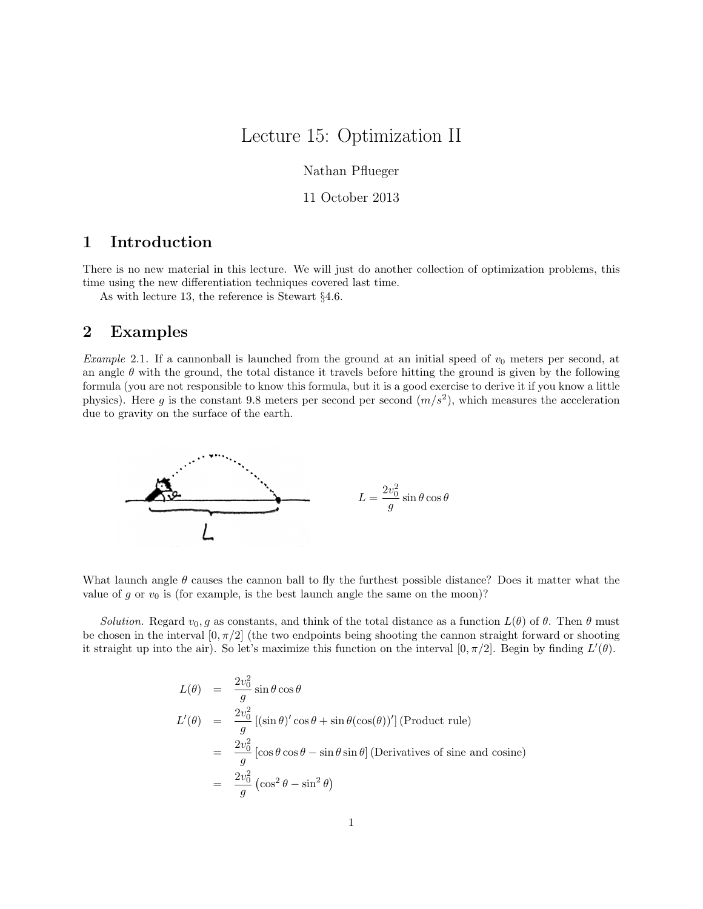## Lecture 15: Optimization II

Nathan Pflueger

11 October 2013

## 1 Introduction

There is no new material in this lecture. We will just do another collection of optimization problems, this time using the new differentiation techniques covered last time.

As with lecture 13, the reference is Stewart §4.6.

## 2 Examples

Example 2.1. If a cannonball is launched from the ground at an initial speed of  $v_0$  meters per second, at an angle  $\theta$  with the ground, the total distance it travels before hitting the ground is given by the following formula (you are not responsible to know this formula, but it is a good exercise to derive it if you know a little physics). Here g is the constant 9.8 meters per second per second  $(m/s^2)$ , which measures the acceleration due to gravity on the surface of the earth.



What launch angle  $\theta$  causes the cannon ball to fly the furthest possible distance? Does it matter what the value of g or  $v_0$  is (for example, is the best launch angle the same on the moon)?

Solution. Regard  $v_0, g$  as constants, and think of the total distance as a function  $L(\theta)$  of  $\theta$ . Then  $\theta$  must be chosen in the interval  $[0, \pi/2]$  (the two endpoints being shooting the cannon straight forward or shooting it straight up into the air). So let's maximize this function on the interval  $[0, \pi/2]$ . Begin by finding  $L'(\theta)$ .

$$
L(\theta) = \frac{2v_0^2}{g} \sin \theta \cos \theta
$$
  
\n
$$
L'(\theta) = \frac{2v_0^2}{g} [(\sin \theta)' \cos \theta + \sin \theta (\cos(\theta))'] \text{ (Product rule)}
$$
  
\n
$$
= \frac{2v_0^2}{g} [\cos \theta \cos \theta - \sin \theta \sin \theta] \text{ (Derivatives of sine and cosine)}
$$
  
\n
$$
= \frac{2v_0^2}{g} (\cos^2 \theta - \sin^2 \theta)
$$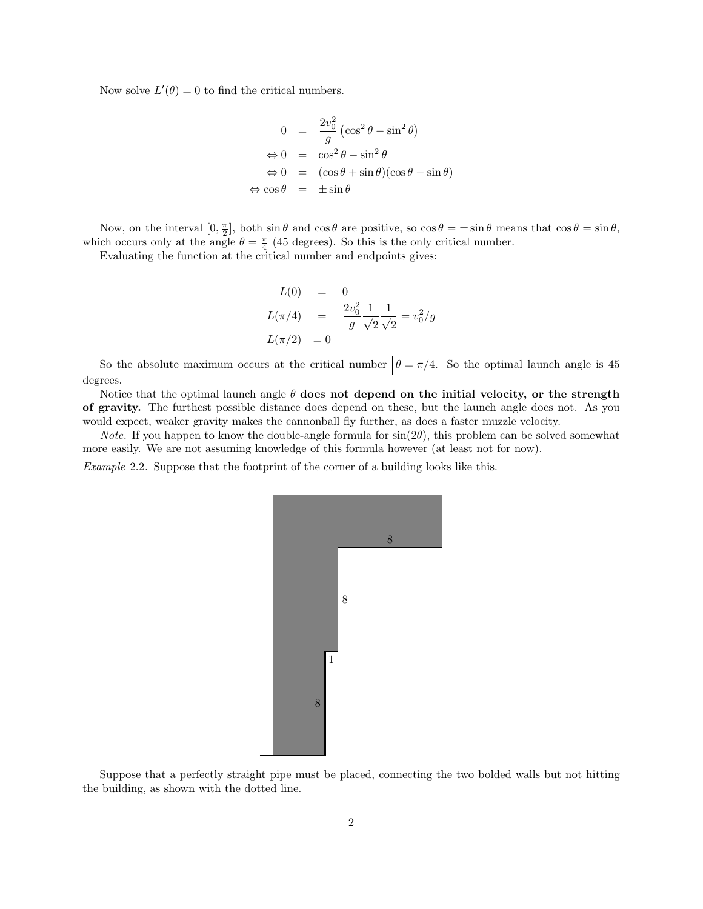Now solve  $L'(\theta) = 0$  to find the critical numbers.

$$
0 = \frac{2v_0^2}{g} \left( \cos^2 \theta - \sin^2 \theta \right)
$$
  
\n
$$
\Leftrightarrow 0 = \cos^2 \theta - \sin^2 \theta
$$
  
\n
$$
\Leftrightarrow 0 = (\cos \theta + \sin \theta)(\cos \theta - \sin \theta)
$$
  
\n
$$
\Leftrightarrow \cos \theta = \pm \sin \theta
$$

Now, on the interval  $[0, \frac{\pi}{2}]$ , both  $\sin \theta$  and  $\cos \theta$  are positive, so  $\cos \theta = \pm \sin \theta$  means that  $\cos \theta = \sin \theta$ , which occurs only at the angle  $\theta = \frac{\pi}{4}$  (45 degrees). So this is the only critical number.

Evaluating the function at the critical number and endpoints gives:

$$
L(0) = 0
$$
  
\n
$$
L(\pi/4) = \frac{2v_0^2}{g} \frac{1}{\sqrt{2}} \frac{1}{\sqrt{2}} = v_0^2/g
$$
  
\n
$$
L(\pi/2) = 0
$$

So the absolute maximum occurs at the critical number  $\boxed{\theta = \pi/4}$ . So the optimal launch angle is 45 degrees.

Notice that the optimal launch angle  $\theta$  does not depend on the initial velocity, or the strength of gravity. The furthest possible distance does depend on these, but the launch angle does not. As you would expect, weaker gravity makes the cannonball fly further, as does a faster muzzle velocity.

*Note.* If you happen to know the double-angle formula for  $sin(2\theta)$ , this problem can be solved somewhat more easily. We are not assuming knowledge of this formula however (at least not for now).

Example 2.2. Suppose that the footprint of the corner of a building looks like this.



Suppose that a perfectly straight pipe must be placed, connecting the two bolded walls but not hitting the building, as shown with the dotted line.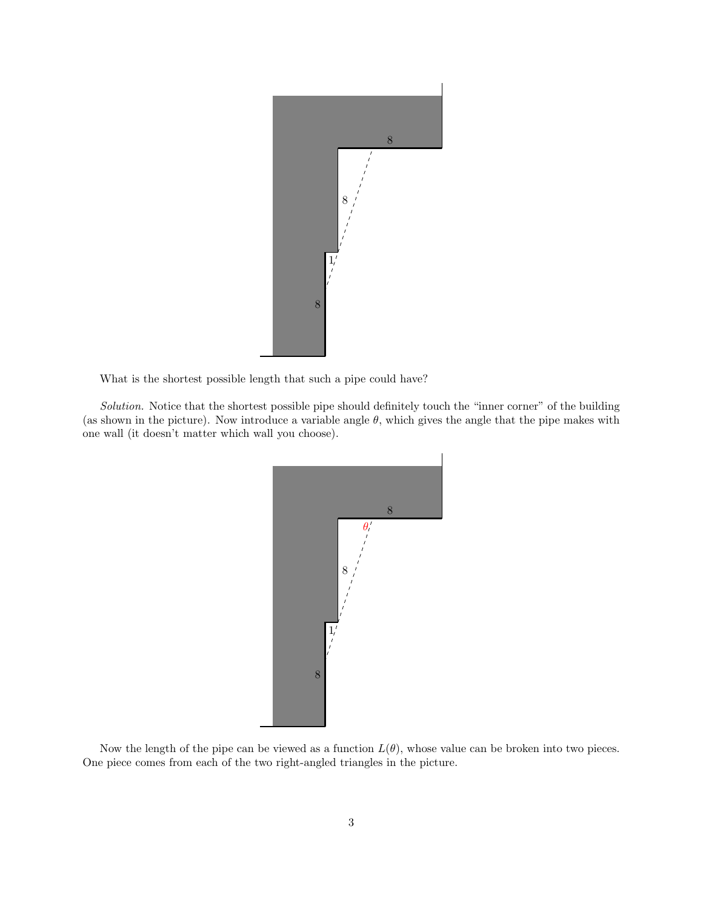

What is the shortest possible length that such a pipe could have?

Solution. Notice that the shortest possible pipe should definitely touch the "inner corner" of the building (as shown in the picture). Now introduce a variable angle  $\theta$ , which gives the angle that the pipe makes with one wall (it doesn't matter which wall you choose).



Now the length of the pipe can be viewed as a function  $L(\theta)$ , whose value can be broken into two pieces. One piece comes from each of the two right-angled triangles in the picture.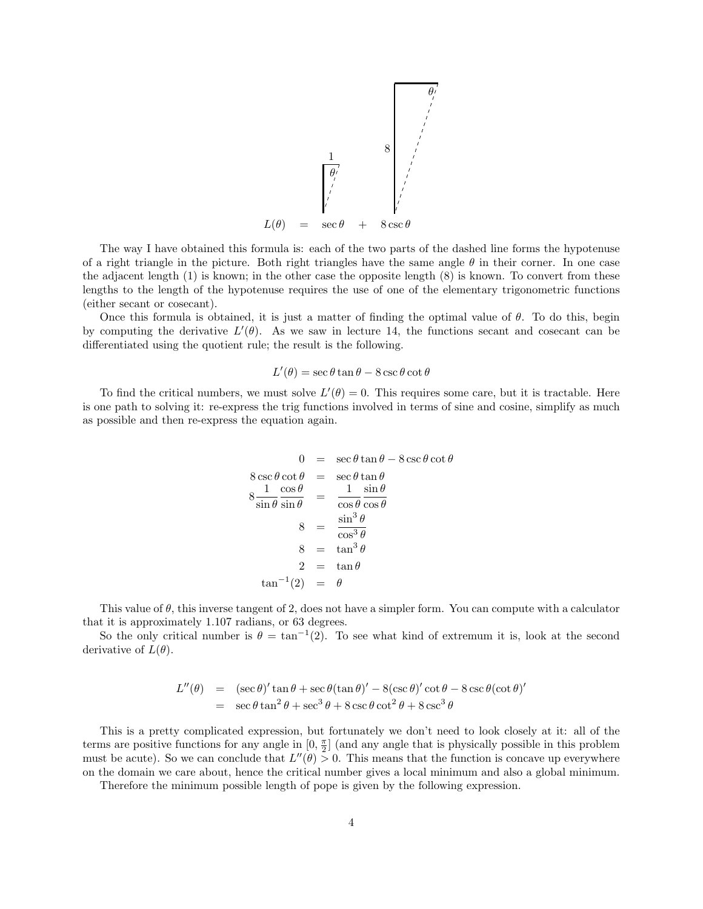

The way I have obtained this formula is: each of the two parts of the dashed line forms the hypotenuse of a right triangle in the picture. Both right triangles have the same angle  $\theta$  in their corner. In one case the adjacent length (1) is known; in the other case the opposite length (8) is known. To convert from these lengths to the length of the hypotenuse requires the use of one of the elementary trigonometric functions (either secant or cosecant).

Once this formula is obtained, it is just a matter of finding the optimal value of  $\theta$ . To do this, begin by computing the derivative  $L'(\theta)$ . As we saw in lecture 14, the functions secant and cosecant can be differentiated using the quotient rule; the result is the following.

## $L'(\theta) = \sec \theta \tan \theta - 8 \csc \theta \cot \theta$

To find the critical numbers, we must solve  $L'(\theta) = 0$ . This requires some care, but it is tractable. Here is one path to solving it: re-express the trig functions involved in terms of sine and cosine, simplify as much as possible and then re-express the equation again.

$$
0 = \sec \theta \tan \theta - 8 \csc \theta \cot \theta
$$
  
\n
$$
8 \csc \theta \cot \theta = \sec \theta \tan \theta
$$
  
\n
$$
8 \frac{1}{\sin \theta} \frac{\cos \theta}{\sin \theta} = \frac{1}{\cos \theta} \frac{\sin \theta}{\cos \theta}
$$
  
\n
$$
8 = \frac{\sin^3 \theta}{\cos^3 \theta}
$$
  
\n
$$
8 = \tan^3 \theta
$$
  
\n
$$
2 = \tan \theta
$$
  
\n
$$
\tan^{-1}(2) = \theta
$$

This value of  $\theta$ , this inverse tangent of 2, does not have a simpler form. You can compute with a calculator that it is approximately 1.107 radians, or 63 degrees.

So the only critical number is  $\theta = \tan^{-1}(2)$ . To see what kind of extremum it is, look at the second derivative of  $L(\theta)$ .

$$
L''(\theta) = (\sec \theta)' \tan \theta + \sec \theta (\tan \theta)' - 8(\csc \theta)' \cot \theta - 8 \csc \theta (\cot \theta)'
$$
  
= 
$$
\sec \theta \tan^2 \theta + \sec^3 \theta + 8 \csc \theta \cot^2 \theta + 8 \csc^3 \theta
$$

This is a pretty complicated expression, but fortunately we don't need to look closely at it: all of the terms are positive functions for any angle in  $[0, \frac{\pi}{2}]$  (and any angle that is physically possible in this problem must be acute). So we can conclude that  $L''(\theta) > 0$ . This means that the function is concave up everywhere on the domain we care about, hence the critical number gives a local minimum and also a global minimum.

Therefore the minimum possible length of pope is given by the following expression.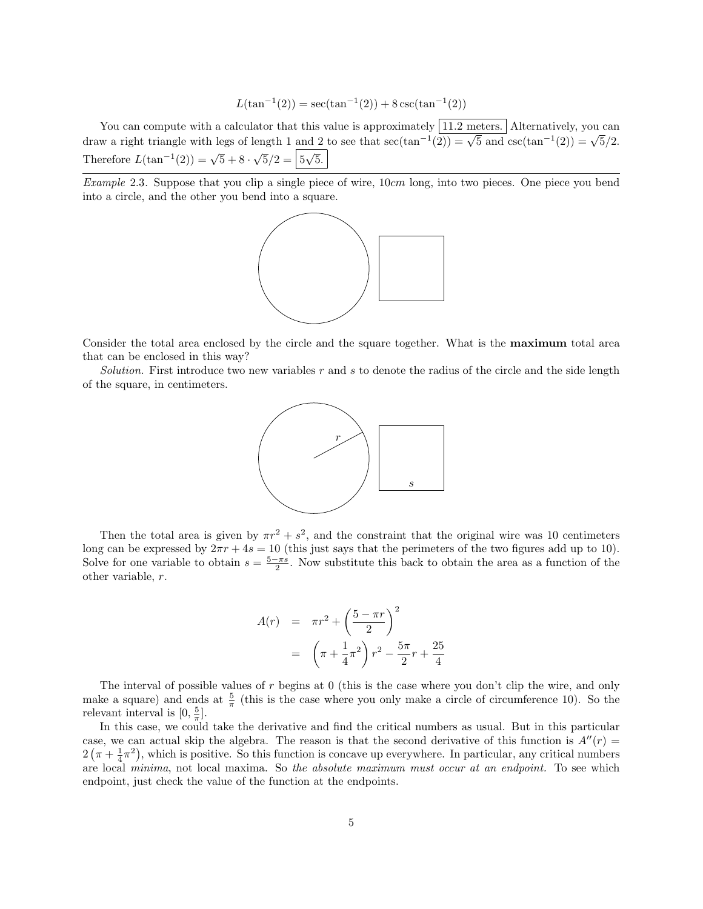$$
L(\tan^{-1}(2)) = \sec(\tan^{-1}(2)) + 8\csc(\tan^{-1}(2))
$$

You can compute with a calculator that this value is approximately  $\boxed{11.2 \text{ meters}}$ . Alternatively, you can fou can compute with a calculator that this value is approximately  $\frac{11.2 \text{ meters}}{2}$ . Alternatively, you can draw a right triangle with legs of length 1 and 2 to see that  $\sec(\tan^{-1}(2)) = \sqrt{5}$  and  $\csc(\tan^{-1}(2)) = \sqrt{5}/2$ . Therefore  $L(\tan^{-1}(2)) = \sqrt{5} + 8$ .  $\sqrt{5}/2 = \sqrt{5}\sqrt{5}$ .

Example 2.3. Suppose that you clip a single piece of wire, 10cm long, into two pieces. One piece you bend into a circle, and the other you bend into a square.



Consider the total area enclosed by the circle and the square together. What is the maximum total area that can be enclosed in this way?

Solution. First introduce two new variables  $r$  and  $s$  to denote the radius of the circle and the side length of the square, in centimeters.



Then the total area is given by  $\pi r^2 + s^2$ , and the constraint that the original wire was 10 centimeters long can be expressed by  $2\pi r + 4s = 10$  (this just says that the perimeters of the two figures add up to 10). Solve for one variable to obtain  $s = \frac{5-\pi s}{2}$ . Now substitute this back to obtain the area as a function of the other variable, r.

$$
A(r) = \pi r^2 + \left(\frac{5 - \pi r}{2}\right)^2
$$

$$
= \left(\pi + \frac{1}{4}\pi^2\right)r^2 - \frac{5\pi}{2}r + \frac{25}{4}
$$

The interval of possible values of  $r$  begins at  $0$  (this is the case where you don't clip the wire, and only make a square) and ends at  $\frac{5}{\pi}$  (this is the case where you only make a circle of circumference 10). So the relevant interval is  $[0, \frac{5}{\pi}].$ 

In this case, we could take the derivative and find the critical numbers as usual. But in this particular case, we can actual skip the algebra. The reason is that the second derivative of this function is  $A''(r)$  =  $2(\pi + \frac{1}{4}\pi^2)$ , which is positive. So this function is concave up everywhere. In particular, any critical numbers are local minima, not local maxima. So the absolute maximum must occur at an endpoint. To see which endpoint, just check the value of the function at the endpoints.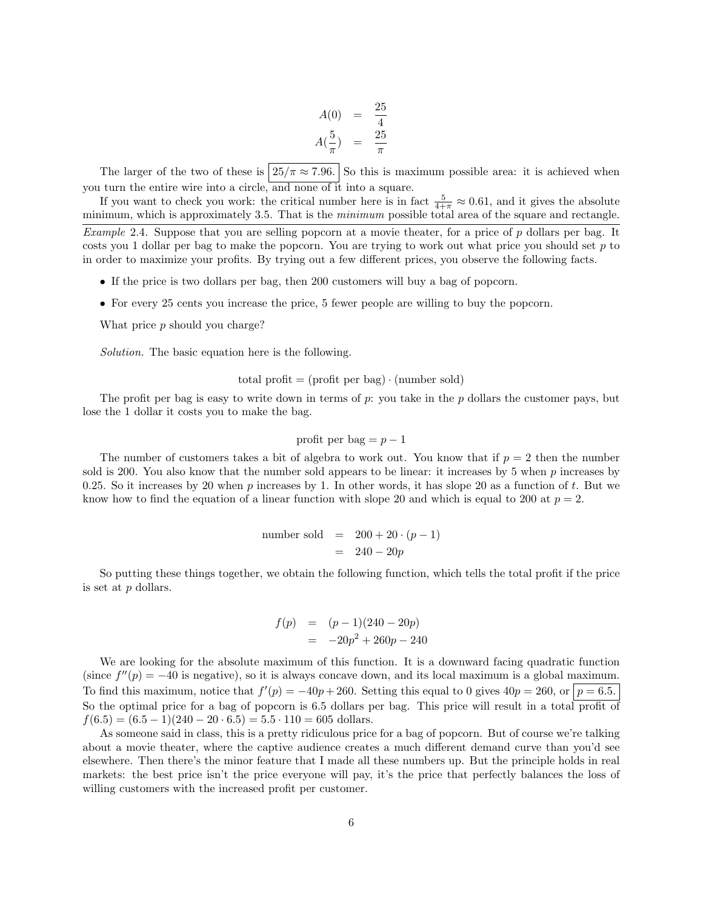$$
A(0) = \frac{25}{4}
$$
  

$$
A(\frac{5}{\pi}) = \frac{25}{\pi}
$$

The larger of the two of these is  $\left| 25/\pi \approx 7.96. \right|$  So this is maximum possible area: it is achieved when you turn the entire wire into a circle, and none of it into a square.

If you want to check you work: the critical number here is in fact  $\frac{5}{4+\pi} \approx 0.61$ , and it gives the absolute minimum, which is approximately 3.5. That is the *minimum* possible total area of the square and rectangle.

Example 2.4. Suppose that you are selling popcorn at a movie theater, for a price of p dollars per bag. It costs you 1 dollar per bag to make the popcorn. You are trying to work out what price you should set  $p$  to in order to maximize your profits. By trying out a few different prices, you observe the following facts.

- If the price is two dollars per bag, then 200 customers will buy a bag of popcorn.
- For every 25 cents you increase the price, 5 fewer people are willing to buy the popcorn.

What price p should you charge?

Solution. The basic equation here is the following.

$$
total profit = (profit per bag) \cdot (number sold)
$$

The profit per bag is easy to write down in terms of  $p$ : you take in the  $p$  dollars the customer pays, but lose the 1 dollar it costs you to make the bag.

profit per bag =  $p-1$ 

The number of customers takes a bit of algebra to work out. You know that if  $p = 2$  then the number sold is 200. You also know that the number sold appears to be linear: it increases by 5 when  $p$  increases by 0.25. So it increases by 20 when p increases by 1. In other words, it has slope 20 as a function of t. But we know how to find the equation of a linear function with slope 20 and which is equal to 200 at  $p = 2$ .

number sold = 
$$
200 + 20 \cdot (p - 1)
$$
  
=  $240 - 20p$ 

So putting these things together, we obtain the following function, which tells the total profit if the price is set at p dollars.

$$
f(p) = (p-1)(240 - 20p)
$$
  
= -20p<sup>2</sup> + 260p - 240

We are looking for the absolute maximum of this function. It is a downward facing quadratic function (since  $f''(p) = -40$  is negative), so it is always concave down, and its local maximum is a global maximum. To find this maximum, notice that  $f'(p) = -40p + 260$ . Setting this equal to 0 gives  $40p = 260$ , or  $|p = 6.5$ . So the optimal price for a bag of popcorn is 6.5 dollars per bag. This price will result in a total profit of  $f(6.5) = (6.5 - 1)(240 - 20 \cdot 6.5) = 5.5 \cdot 110 = 605$  dollars.

As someone said in class, this is a pretty ridiculous price for a bag of popcorn. But of course we're talking about a movie theater, where the captive audience creates a much different demand curve than you'd see elsewhere. Then there's the minor feature that I made all these numbers up. But the principle holds in real markets: the best price isn't the price everyone will pay, it's the price that perfectly balances the loss of willing customers with the increased profit per customer.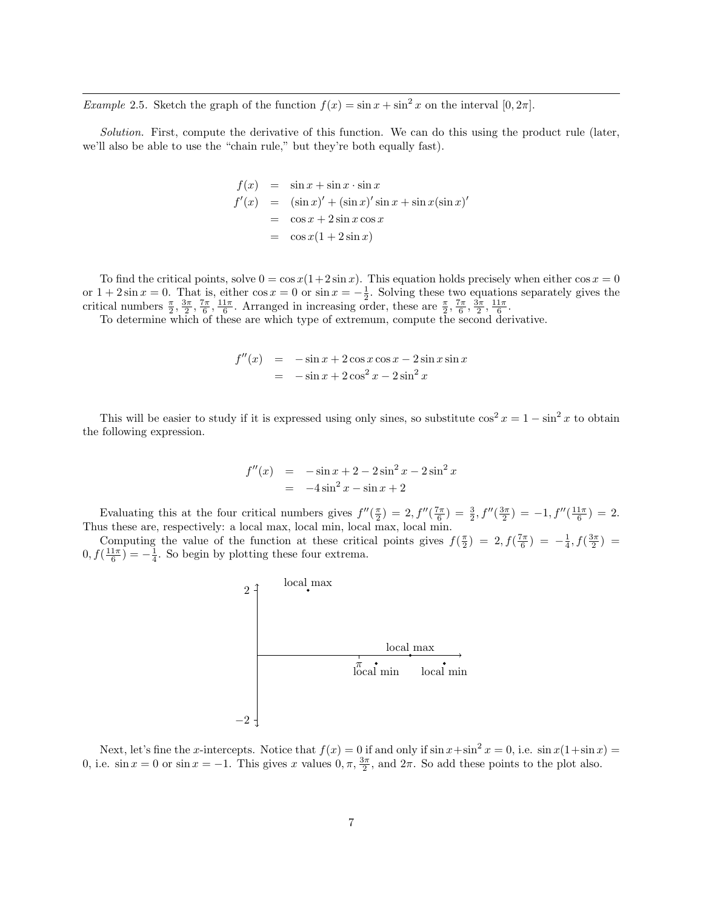*Example* 2.5. Sketch the graph of the function  $f(x) = \sin x + \sin^2 x$  on the interval [0, 2 $\pi$ ].

Solution. First, compute the derivative of this function. We can do this using the product rule (later, we'll also be able to use the "chain rule," but they're both equally fast).

$$
f(x) = \sin x + \sin x \cdot \sin x
$$
  
\n
$$
f'(x) = (\sin x)' + (\sin x)' \sin x + \sin x (\sin x)'
$$
  
\n
$$
= \cos x + 2 \sin x \cos x
$$
  
\n
$$
= \cos x (1 + 2 \sin x)
$$

To find the critical points, solve  $0 = \cos x(1+2\sin x)$ . This equation holds precisely when either  $\cos x = 0$ or  $1 + 2\sin x = 0$ . That is, either  $\cos x = 0$  or  $\sin x = -\frac{1}{2}$ . Solving these two equations separately gives the critical numbers  $\frac{\pi}{2}, \frac{3\pi}{2}, \frac{7\pi}{6}, \frac{11\pi}{6}$ . Arranged in increasing order, these are  $\frac{\pi}{2}, \frac{7\pi}{6}, \frac{3\pi}{2}, \frac{11\pi}{6}$ .

To determine which of these are which type of extremum, compute the second derivative.

$$
f''(x) = -\sin x + 2\cos x \cos x - 2\sin x \sin x
$$
  
= -\sin x + 2\cos<sup>2</sup> x - 2\sin<sup>2</sup> x

This will be easier to study if it is expressed using only sines, so substitute  $\cos^2 x = 1 - \sin^2 x$  to obtain the following expression.

$$
f''(x) = -\sin x + 2 - 2\sin^2 x - 2\sin^2 x
$$
  
= -4\sin<sup>2</sup> x - \sin x + 2

Evaluating this at the four critical numbers gives  $f''(\frac{\pi}{2}) = 2$ ,  $f''(\frac{7\pi}{6}) = \frac{3}{2}$ ,  $f''(\frac{3\pi}{2}) = -1$ ,  $f''(\frac{11\pi}{6}) = 2$ . Thus these are, respectively: a local max, local min, local max, local min.

Computing the value of the function at these critical points gives  $f(\frac{\pi}{2}) = 2, f(\frac{7\pi}{6}) = -\frac{1}{4}, f(\frac{3\pi}{2}) =$  $0, f(\frac{11\pi}{6}) = -\frac{1}{4}$ . So begin by plotting these four extrema.



Next, let's fine the x-intercepts. Notice that  $f(x) = 0$  if and only if  $\sin x + \sin^2 x = 0$ , i.e.  $\sin x(1 + \sin x) =$ 0, i.e.  $\sin x = 0$  or  $\sin x = -1$ . This gives x values  $0, \pi, \frac{3\pi}{2}$ , and  $2\pi$ . So add these points to the plot also.